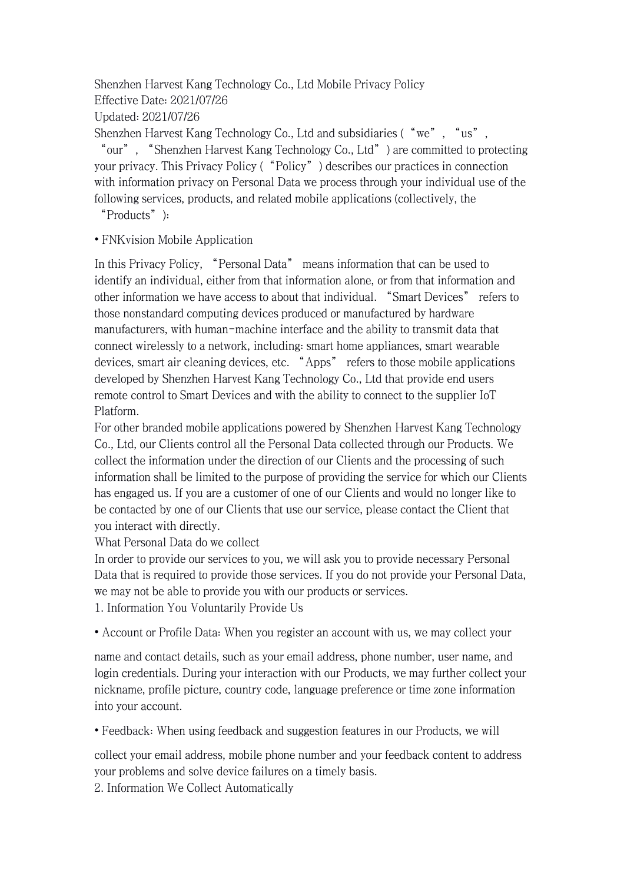## Shenzhen Harvest Kang Technology Co., Ltd Mobile Privacy Policy Effective Date: 2021/07/26

Updated: 2021/07/26

Shenzhen Harvest Kang Technology Co., Ltd and subsidiaries ("we", "us",

"our", "Shenzhen Harvest Kang Technology Co., Ltd") are committed to protecting your privacy. This Privacy Policy ("Policy") describes our practices in connection with information privacy on Personal Data we process through your individual use of the following services, products, and related mobile applications (collectively, the

"Products"):

• FNKvision Mobile Application

In this Privacy Policy, "Personal Data" means information that can be used to identify an individual, either from that information alone, or from that information and other information we have access to about that individual. "Smart Devices" refers to those nonstandard computing devices produced or manufactured by hardware manufacturers, with human-machine interface and the ability to transmit data that connect wirelessly to a network, including: smart home appliances, smart wearable devices, smart air cleaning devices, etc. "Apps" refers to those mobile applications developed by Shenzhen Harvest Kang Technology Co., Ltd that provide end users remote control to Smart Devices and with the ability to connect to the supplier IoT Platform.

For other branded mobile applications powered by Shenzhen Harvest Kang Technology Co., Ltd, our Clients control all the Personal Data collected through our Products. We collect the information under the direction of our Clients and the processing of such information shall be limited to the purpose of providing the service for which our Clients has engaged us. If you are a customer of one of our Clients and would no longer like to be contacted by one of our Clients that use our service, please contact the Client that you interact with directly.

What Personal Data do we collect

In order to provide our services to you, we will ask you to provide necessary Personal Data that is required to provide those services. If you do not provide your Personal Data, we may not be able to provide you with our products or services. 1. Information You Voluntarily Provide Us

• Account or Profile Data: When you registeran account with us, we may collect your

name and contact details, such as your email address, phone number, user name, and login credentials. During your interaction with our Products, we may further collect your nickname, profile picture, country code, language preference or time zone information into your account.

• Feedback: When using feedback and suggestion features in our Products, we will

collect your email address, mobile phone number and your feedback content to address your problems and solve device failures on a timely basis.

2. Information We Collect Automatically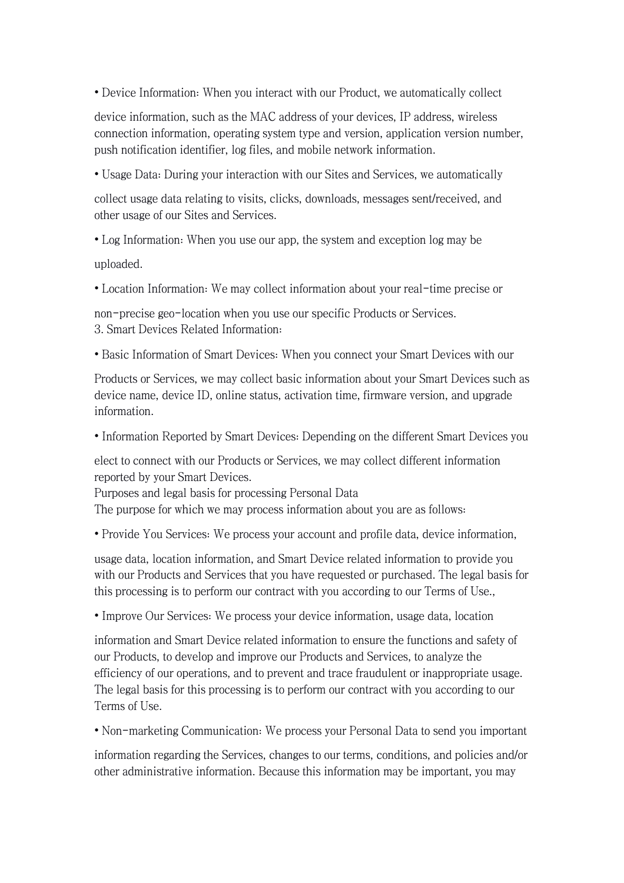• Device Information: When you interact with our Product, we automatically collect

device information, such as the MAC address of your devices, IP address, wireless connection information, operating system type and version, application version number, push notification identifier, log files, and mobile network information.

• Usage Data: During your interaction with our Sites and Services, we automatically

collect usage data relating to visits, clicks, downloads, messages sent/received, and other usage of our Sites and Services.

• Log Information: When you use our app, the system and exception log may be uploaded.

• Location Information: We may collect information about your real-time precise or

non-precise geo-location when you use our specific Products or Services. 3. Smart Devices Related Information:

• Basic Information of Smart Devices: When you connect your Smart Devices with our

Products or Services, we may collect basic information about your Smart Devices such as device name, device ID, online status, activation time, firmware version, and upgrade information.

• Information Reported by Smart Devices: Depending on the different Smart Devices you

elect to connect with our Products or Services, we may collect different information reported by your Smart Devices.

Purposes and legal basis for processing Personal Data

The purpose for which we may process information about you are as follows:

• Provide You Services: We process your account and profile data, device information,

usage data, location information, and Smart Device related information to provide you with our Products and Services that you have requested or purchased. The legal basis for this processing is to perform our contract with you according to our Terms of Use.,

• Improve Our Services: We process your device information, usage data, location

information and Smart Device related information to ensure the functions and safety of our Products, to develop and improve our Products and Services, to analyze the efficiency of our operations, and to prevent and trace fraudulent or inappropriate usage. The legal basis for this processing is to perform our contract with you according to our Terms of Use.

• Non-marketing Communication: We process your Personal Data to send you important

information regarding the Services, changes to our terms, conditions, and policies and/or other administrative information. Because this information may be important, you may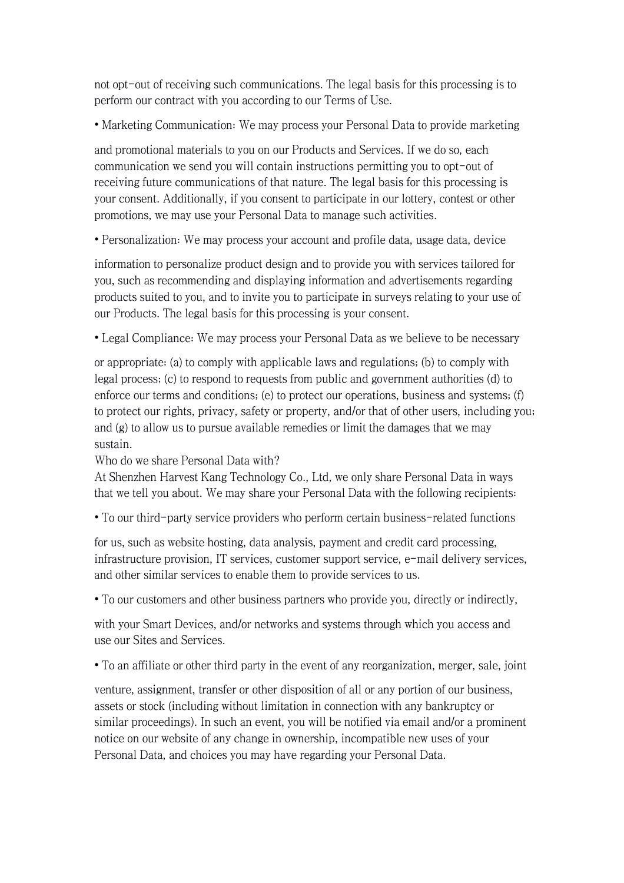not opt-out of receiving such communications. The legal basis for this processing is to perform our contract with you according to our Terms of Use.

• Marketing Communication: We may process your Personal Data to provide marketing

and promotional materials to you on our Products and Services. If we do so, each communication we send you will contain instructions permitting you to opt-outof receiving future communications of that nature. The legal basis for this processing is your consent. Additionally, if you consent to participate in our lottery, contest or other promotions, we may use your Personal Data to manage such activities.

• Personalization: We may process your account and profile data, usage data, device

information to personalize product design and to provide you with services tailored for you, such as recommending and displaying information and advertisements regarding products suited to you, and to invite you to participate in surveys relating to your use of our Products. The legal basis for this processing is your consent.

• Legal Compliance: We may process your Personal Data as we believe to be necessary

or appropriate: (a) to comply with applicable laws and regulations; (b) to comply with legal process; (c) to respond to requests from public and government authorities (d) to enforce our terms and conditions; (e) to protect our operations, business and systems; (f) to protect our rights, privacy, safety or property, and/or that of other users, including you; and  $(g)$  to allow us to pursue available remedies or limit the damages that we may sustain.

Who do we share Personal Data with?

At Shenzhen Harvest Kang Technology Co., Ltd, we only share Personal Data in ways that we tell you about. We may share your Personal Data with the following recipients:

• To our third-party service providers who perform certain business-related functions

for us, such as website hosting, data analysis, payment and credit card processing, infrastructure provision, IT services, customer support service, e-mail delivery services, and other similar services to enable them to provide services to us.

• To our customers and other business partners who provide you, directly or indirectly,

with your Smart Devices, and/or networks and systems through which you access and use our Sites and Services.

• To an affiliate or other third party in the event of any reorganization, merger, sale, joint

venture, assignment, transfer or other disposition of all or any portion of our business, assets or stock (including without limitation in connection with any bankruptcy or similar proceedings). In such an event, you will be notified via email and/or a prominent notice on our website of any change in ownership, incompatible new uses of your Personal Data, and choices you may have regarding your Personal Data.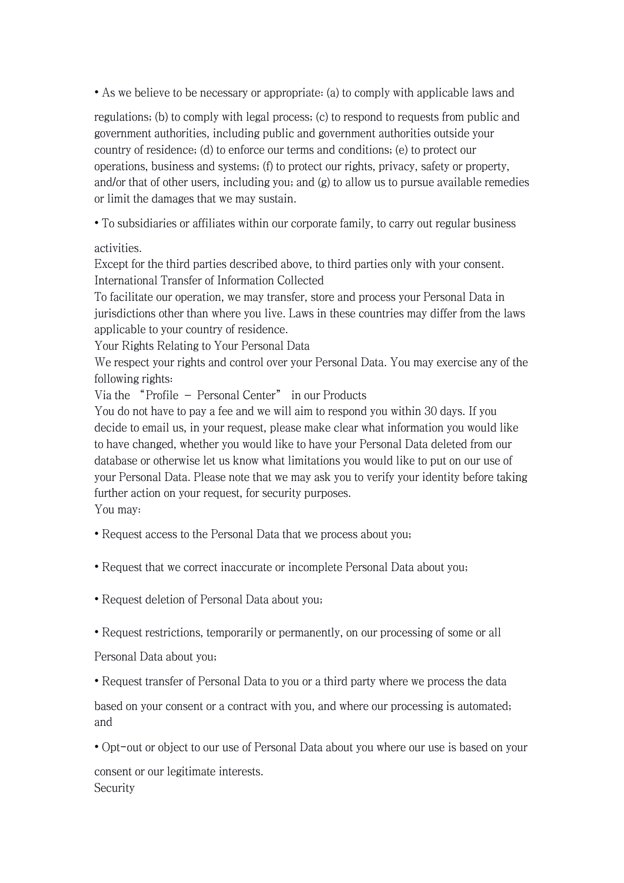• As we believe to be necessary or appropriate: (a) to comply with applicable laws and

regulations; (b) to comply with legal process; (c) to respond to requests from public and government authorities, including public and government authorities outside your country of residence; (d) to enforce our terms and conditions; (e) to protect our operations, business and systems; (f) to protect our rights, privacy, safety or property, and/or that of other users, including you; and (g) to allow us to pursue available remedies or limit the damages that we may sustain.

• To subsidiaries or affiliates within our corporate family, to carry out regular business

## activities.

Except for the third parties described above, to third parties only with your consent. International Transfer of Information Collected

To facilitate our operation, we may transfer, store and process your Personal Data in jurisdictions other than where you live. Laws in these countries may differ from the laws applicable to your country of residence.

Your Rights Relating to Your Personal Data

We respect your rights and control over your Personal Data. You may exercise any of the following rights:

Via the "Profile – Personal Center" in our Products

You do not have to pay a fee and we will aim to respond you within 30 days. If you decide to email us, in your request, please make clear what information you would like to have changed, whether you would like to have your Personal Data deleted from our database or otherwise let us know what limitations you would like to put on our use of your Personal Data. Please note that we may ask you to verify your identity before taking further action on your request, for security purposes.

You may:

- Request access to the Personal Data that we process about you;
- Request that we correct inaccurate or incomplete Personal Data about you;
- Request deletion of Personal Data about you;
- Request restrictions, temporarily or permanently, on our processing of some or all

Personal Data about you;

• Request transfer of Personal Data to you or a third party where we process the data

based on your consent or a contract with you, and where our processing is automated; and

• Opt-out or object to our use of Personal Data about you where our use is based on your

consent or our legitimate interests. Security